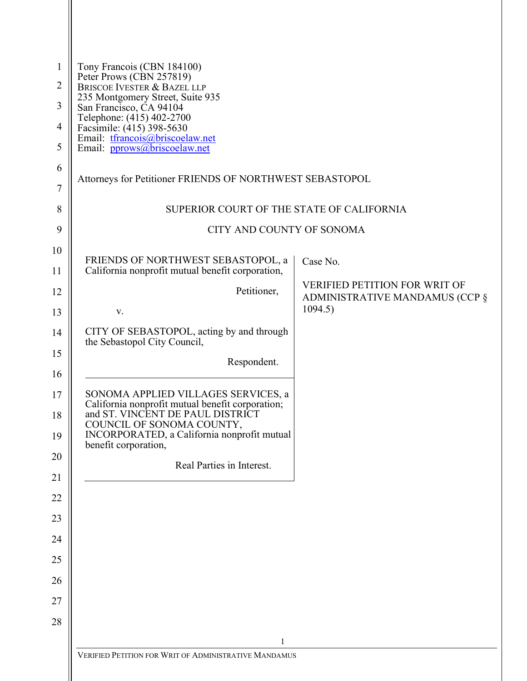| $\mathbf{1}$        | Tony Francois (CBN 184100)<br>Peter Prows (CBN 257819)                                                            |                                                                        |  |  |
|---------------------|-------------------------------------------------------------------------------------------------------------------|------------------------------------------------------------------------|--|--|
| $\overline{2}$<br>3 | <b>BRISCOE IVESTER &amp; BAZEL LLP</b><br>235 Montgomery Street, Suite 935                                        |                                                                        |  |  |
| 4                   | San Francisco, CA 94104<br>Telephone: (415) 402-2700                                                              |                                                                        |  |  |
| 5                   | Facsimile: (415) 398-5630<br>Email: tfrancois@briscoelaw.net<br>Email: pprows@briscoelaw.net                      |                                                                        |  |  |
| 6                   |                                                                                                                   |                                                                        |  |  |
| $\overline{7}$      | Attorneys for Petitioner FRIENDS OF NORTHWEST SEBASTOPOL                                                          |                                                                        |  |  |
| 8                   | SUPERIOR COURT OF THE STATE OF CALIFORNIA                                                                         |                                                                        |  |  |
| 9                   | CITY AND COUNTY OF SONOMA                                                                                         |                                                                        |  |  |
| 10                  | FRIENDS OF NORTHWEST SEBASTOPOL, a                                                                                | Case No.                                                               |  |  |
| 11                  | California nonprofit mutual benefit corporation,                                                                  |                                                                        |  |  |
| 12                  | Petitioner,                                                                                                       | <b>VERIFIED PETITION FOR WRIT OF</b><br>ADMINISTRATIVE MANDAMUS (CCP § |  |  |
| 13                  | V.                                                                                                                | 1094.5)                                                                |  |  |
| 14                  | CITY OF SEBASTOPOL, acting by and through<br>the Sebastopol City Council,                                         |                                                                        |  |  |
| 15<br>16            | Respondent.                                                                                                       |                                                                        |  |  |
| 17                  | SONOMA APPLIED VILLAGES SERVICES, a                                                                               |                                                                        |  |  |
| 18                  | California nonprofit mutual benefit corporation;<br>and ST. VINCENT DE PAUL DISTRICT<br>COUNCIL OF SONOMA COUNTY, |                                                                        |  |  |
| 19                  | INCORPORATED, a California nonprofit mutual<br>benefit corporation,                                               |                                                                        |  |  |
| 20                  | Real Parties in Interest.                                                                                         |                                                                        |  |  |
| 21                  |                                                                                                                   |                                                                        |  |  |
| 22                  |                                                                                                                   |                                                                        |  |  |
| 23                  |                                                                                                                   |                                                                        |  |  |
| 24                  |                                                                                                                   |                                                                        |  |  |
| 25                  |                                                                                                                   |                                                                        |  |  |
| 26                  |                                                                                                                   |                                                                        |  |  |
| 27<br>28            |                                                                                                                   |                                                                        |  |  |
|                     | 1                                                                                                                 |                                                                        |  |  |
|                     | VERIFIED PETITION FOR WRIT OF ADMINISTRATIVE MANDAMUS                                                             |                                                                        |  |  |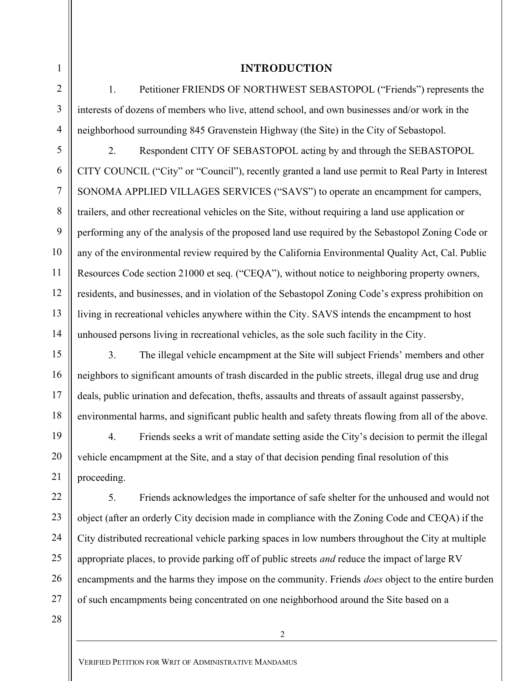# 3 4 5

1

2

6

7

8

9

10

11

12

13

14

15

16

17

18

19

20

21

22

23

24

25

26

27

## INTRODUCTION

1. Petitioner FRIENDS OF NORTHWEST SEBASTOPOL ("Friends") represents the interests of dozens of members who live, attend school, and own businesses and/or work in the neighborhood surrounding 845 Gravenstein Highway (the Site) in the City of Sebastopol.

2. Respondent CITY OF SEBASTOPOL acting by and through the SEBASTOPOL CITY COUNCIL ("City" or "Council"), recently granted a land use permit to Real Party in Interest SONOMA APPLIED VILLAGES SERVICES ("SAVS") to operate an encampment for campers, trailers, and other recreational vehicles on the Site, without requiring a land use application or performing any of the analysis of the proposed land use required by the Sebastopol Zoning Code or any of the environmental review required by the California Environmental Quality Act, Cal. Public Resources Code section 21000 et seq. ("CEQA"), without notice to neighboring property owners, residents, and businesses, and in violation of the Sebastopol Zoning Code's express prohibition on living in recreational vehicles anywhere within the City. SAVS intends the encampment to host unhoused persons living in recreational vehicles, as the sole such facility in the City.

3. The illegal vehicle encampment at the Site will subject Friends' members and other neighbors to significant amounts of trash discarded in the public streets, illegal drug use and drug deals, public urination and defecation, thefts, assaults and threats of assault against passersby, environmental harms, and significant public health and safety threats flowing from all of the above.

4. Friends seeks a writ of mandate setting aside the City's decision to permit the illegal vehicle encampment at the Site, and a stay of that decision pending final resolution of this proceeding.

5. Friends acknowledges the importance of safe shelter for the unhoused and would not object (after an orderly City decision made in compliance with the Zoning Code and CEQA) if the City distributed recreational vehicle parking spaces in low numbers throughout the City at multiple appropriate places, to provide parking off of public streets *and* reduce the impact of large RV encampments and the harms they impose on the community. Friends *does* object to the entire burden of such encampments being concentrated on one neighborhood around the Site based on a

28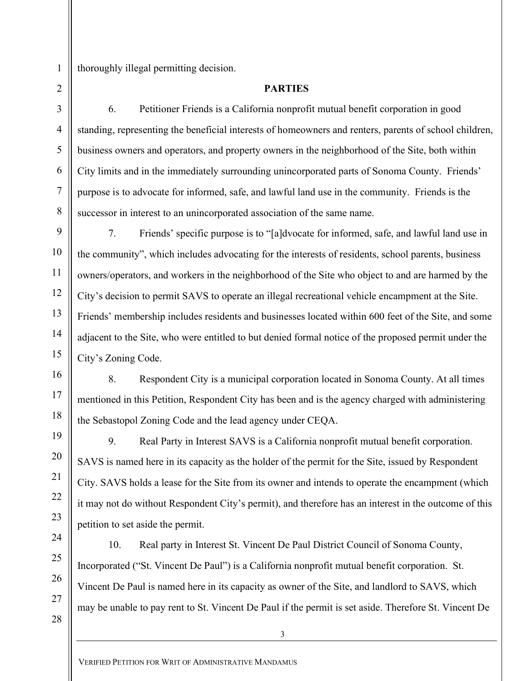8

9

10

11

12

13

14

15

16

17

18

19

20

21

22

23

24

25

26

thoroughly illegal permitting decision.

## PARTIES

6. Petitioner Friends is a California nonprofit mutual benefit corporation in good standing, representing the beneficial interests of homeowners and renters, parents of school children, business owners and operators, and property owners in the neighborhood of the Site, both within City limits and in the immediately surrounding unincorporated parts of Sonoma County. Friends' purpose is to advocate for informed, safe, and lawful land use in the community. Friends is the successor in interest to an unincorporated association of the same name.

7. Friends' specific purpose is to "[a]dvocate for informed, safe, and lawful land use in the community", which includes advocating for the interests of residents, school parents, business owners/operators, and workers in the neighborhood of the Site who object to and are harmed by the City's decision to permit SAVS to operate an illegal recreational vehicle encampment at the Site. Friends' membership includes residents and businesses located within 600 feet of the Site, and some adjacent to the Site, who were entitled to but denied formal notice of the proposed permit under the City's Zoning Code.

8. Respondent City is a municipal corporation located in Sonoma County. At all times mentioned in this Petition, Respondent City has been and is the agency charged with administering the Sebastopol Zoning Code and the lead agency under CEQA.

9. Real Party in Interest SAVS is a California nonprofit mutual benefit corporation. SAVS is named here in its capacity as the holder of the permit for the Site, issued by Respondent City. SAVS holds a lease for the Site from its owner and intends to operate the encampment (which it may not do without Respondent City's permit), and therefore has an interest in the outcome of this petition to set aside the permit.

10. Real party in Interest St. Vincent De Paul District Council of Sonoma County, Incorporated ("St. Vincent De Paul") is a California nonprofit mutual benefit corporation. St. Vincent De Paul is named here in its capacity as owner of the Site, and landlord to SAVS, which may be unable to pay rent to St. Vincent De Paul if the permit is set aside. Therefore St. Vincent De

27 28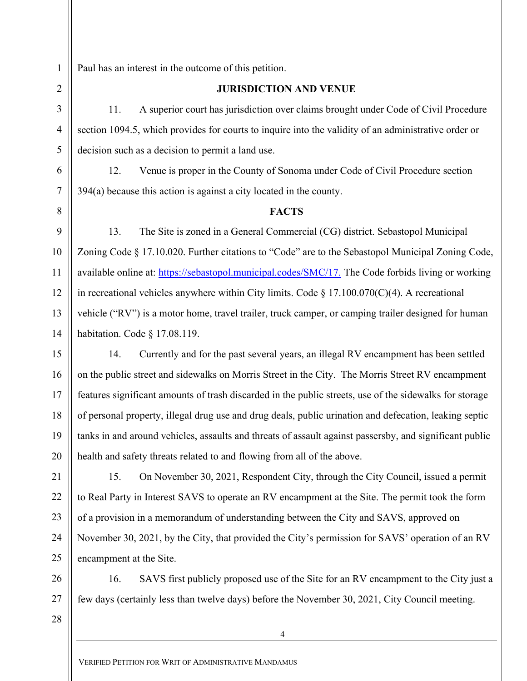6

7

8

9

10

11

12

13

14

15

16

17

18

19

20

21

22

23

24

25

26

27

Paul has an interest in the outcome of this petition.

#### JURISDICTION AND VENUE

11. A superior court has jurisdiction over claims brought under Code of Civil Procedure section 1094.5, which provides for courts to inquire into the validity of an administrative order or decision such as a decision to permit a land use.

12. Venue is proper in the County of Sonoma under Code of Civil Procedure section 394(a) because this action is against a city located in the county.

#### **FACTS**

13. The Site is zoned in a General Commercial (CG) district. Sebastopol Municipal Zoning Code § 17.10.020. Further citations to "Code" are to the Sebastopol Municipal Zoning Code, available online at: https://sebastopol.municipal.codes/SMC/17. The Code forbids living or working in recreational vehicles anywhere within City limits. Code  $\S 17.100.070(C)(4)$ . A recreational vehicle ("RV") is a motor home, travel trailer, truck camper, or camping trailer designed for human habitation. Code § 17.08.119.

14. Currently and for the past several years, an illegal RV encampment has been settled on the public street and sidewalks on Morris Street in the City. The Morris Street RV encampment features significant amounts of trash discarded in the public streets, use of the sidewalks for storage of personal property, illegal drug use and drug deals, public urination and defecation, leaking septic tanks in and around vehicles, assaults and threats of assault against passersby, and significant public health and safety threats related to and flowing from all of the above.

15. On November 30, 2021, Respondent City, through the City Council, issued a permit to Real Party in Interest SAVS to operate an RV encampment at the Site. The permit took the form of a provision in a memorandum of understanding between the City and SAVS, approved on November 30, 2021, by the City, that provided the City's permission for SAVS' operation of an RV encampment at the Site.

16. SAVS first publicly proposed use of the Site for an RV encampment to the City just a few days (certainly less than twelve days) before the November 30, 2021, City Council meeting.

28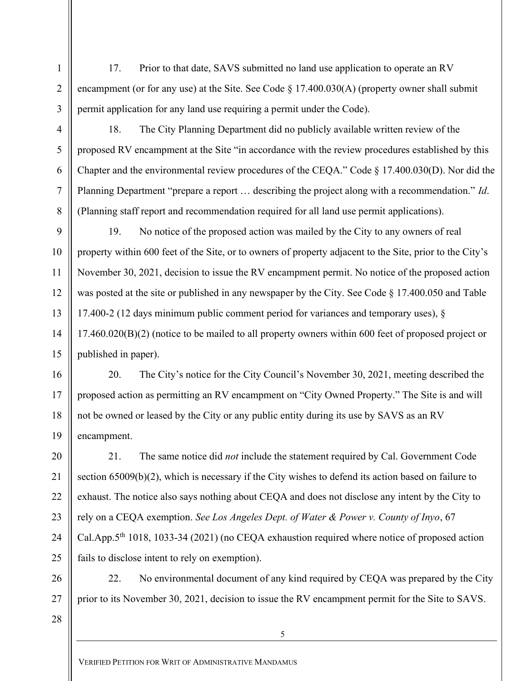17. Prior to that date, SAVS submitted no land use application to operate an RV encampment (or for any use) at the Site. See Code  $\S 17.400.030(A)$  (property owner shall submit permit application for any land use requiring a permit under the Code).

18. The City Planning Department did no publicly available written review of the proposed RV encampment at the Site "in accordance with the review procedures established by this Chapter and the environmental review procedures of the CEQA." Code § 17.400.030(D). Nor did the Planning Department "prepare a report … describing the project along with a recommendation." Id. (Planning staff report and recommendation required for all land use permit applications).

19. No notice of the proposed action was mailed by the City to any owners of real property within 600 feet of the Site, or to owners of property adjacent to the Site, prior to the City's November 30, 2021, decision to issue the RV encampment permit. No notice of the proposed action was posted at the site or published in any newspaper by the City. See Code § 17.400.050 and Table 17.400-2 (12 days minimum public comment period for variances and temporary uses), § 17.460.020(B)(2) (notice to be mailed to all property owners within 600 feet of proposed project or published in paper).

20. The City's notice for the City Council's November 30, 2021, meeting described the proposed action as permitting an RV encampment on "City Owned Property." The Site is and will not be owned or leased by the City or any public entity during its use by SAVS as an RV encampment.

21. The same notice did *not* include the statement required by Cal. Government Code section 65009(b)(2), which is necessary if the City wishes to defend its action based on failure to exhaust. The notice also says nothing about CEQA and does not disclose any intent by the City to rely on a CEQA exemption. See Los Angeles Dept. of Water  $\&$  Power v. County of Inyo, 67 Cal.App.5<sup>th</sup> 1018, 1033-34 (2021) (no CEQA exhaustion required where notice of proposed action fails to disclose intent to rely on exemption).

22. No environmental document of any kind required by CEQA was prepared by the City prior to its November 30, 2021, decision to issue the RV encampment permit for the Site to SAVS.

28

1

2

3

4

5

6

7

8

9

10

11

12

13

14

15

16

17

18

19

20

21

22

23

24

25

26

27

 $\overline{5}$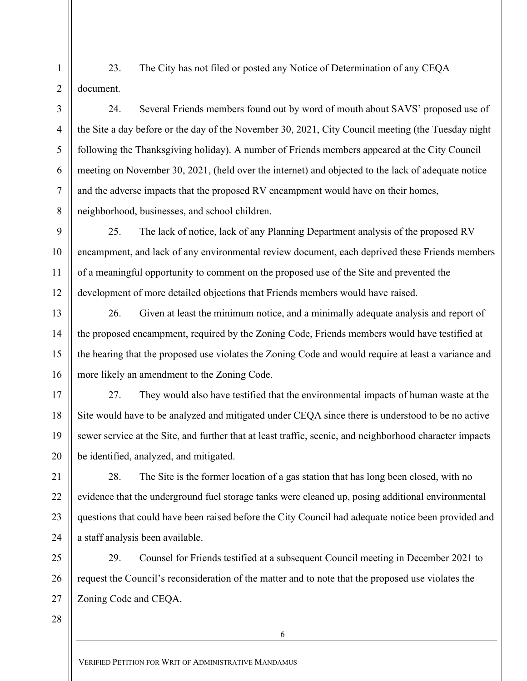23. The City has not filed or posted any Notice of Determination of any CEQA document.

24. Several Friends members found out by word of mouth about SAVS' proposed use of the Site a day before or the day of the November 30, 2021, City Council meeting (the Tuesday night following the Thanksgiving holiday). A number of Friends members appeared at the City Council meeting on November 30, 2021, (held over the internet) and objected to the lack of adequate notice and the adverse impacts that the proposed RV encampment would have on their homes, neighborhood, businesses, and school children.

25. The lack of notice, lack of any Planning Department analysis of the proposed RV encampment, and lack of any environmental review document, each deprived these Friends members of a meaningful opportunity to comment on the proposed use of the Site and prevented the development of more detailed objections that Friends members would have raised.

26. Given at least the minimum notice, and a minimally adequate analysis and report of the proposed encampment, required by the Zoning Code, Friends members would have testified at the hearing that the proposed use violates the Zoning Code and would require at least a variance and more likely an amendment to the Zoning Code.

27. They would also have testified that the environmental impacts of human waste at the Site would have to be analyzed and mitigated under CEQA since there is understood to be no active sewer service at the Site, and further that at least traffic, scenic, and neighborhood character impacts be identified, analyzed, and mitigated.

28. The Site is the former location of a gas station that has long been closed, with no evidence that the underground fuel storage tanks were cleaned up, posing additional environmental questions that could have been raised before the City Council had adequate notice been provided and a staff analysis been available.

29. Counsel for Friends testified at a subsequent Council meeting in December 2021 to request the Council's reconsideration of the matter and to note that the proposed use violates the Zoning Code and CEQA.

28

1

2

3

4

5

6

7

8

9

10

11

12

13

14

15

16

17

18

19

20

21

22

23

24

25

26

27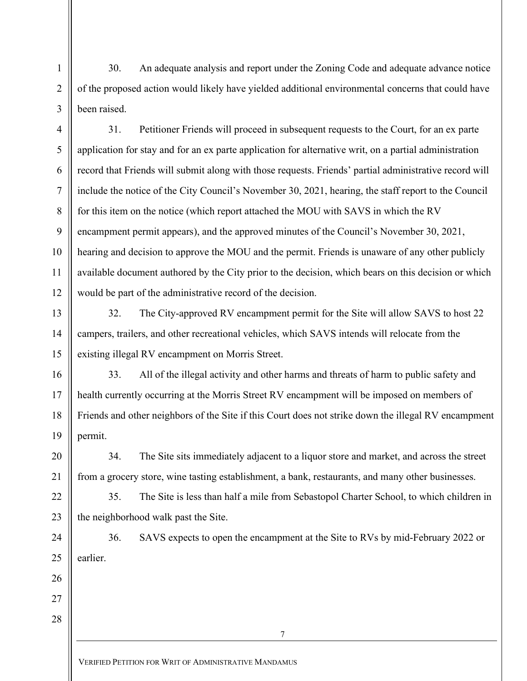30. An adequate analysis and report under the Zoning Code and adequate advance notice of the proposed action would likely have yielded additional environmental concerns that could have been raised.

1

2

3

4

5

6

7

8

9

10

11

12

13

14

15

16

17

18

19

20

21

22

23

24

25

26

27

28

31. Petitioner Friends will proceed in subsequent requests to the Court, for an ex parte application for stay and for an ex parte application for alternative writ, on a partial administration record that Friends will submit along with those requests. Friends' partial administrative record will include the notice of the City Council's November 30, 2021, hearing, the staff report to the Council for this item on the notice (which report attached the MOU with SAVS in which the RV encampment permit appears), and the approved minutes of the Council's November 30, 2021, hearing and decision to approve the MOU and the permit. Friends is unaware of any other publicly available document authored by the City prior to the decision, which bears on this decision or which would be part of the administrative record of the decision.

32. The City-approved RV encampment permit for the Site will allow SAVS to host 22 campers, trailers, and other recreational vehicles, which SAVS intends will relocate from the existing illegal RV encampment on Morris Street.

33. All of the illegal activity and other harms and threats of harm to public safety and health currently occurring at the Morris Street RV encampment will be imposed on members of Friends and other neighbors of the Site if this Court does not strike down the illegal RV encampment permit.

34. The Site sits immediately adjacent to a liquor store and market, and across the street from a grocery store, wine tasting establishment, a bank, restaurants, and many other businesses.

35. The Site is less than half a mile from Sebastopol Charter School, to which children in the neighborhood walk past the Site.

36. SAVS expects to open the encampment at the Site to RVs by mid-February 2022 or earlier.

VERIFIED PETITION FOR WRIT OF ADMINISTRATIVE MANDAMUS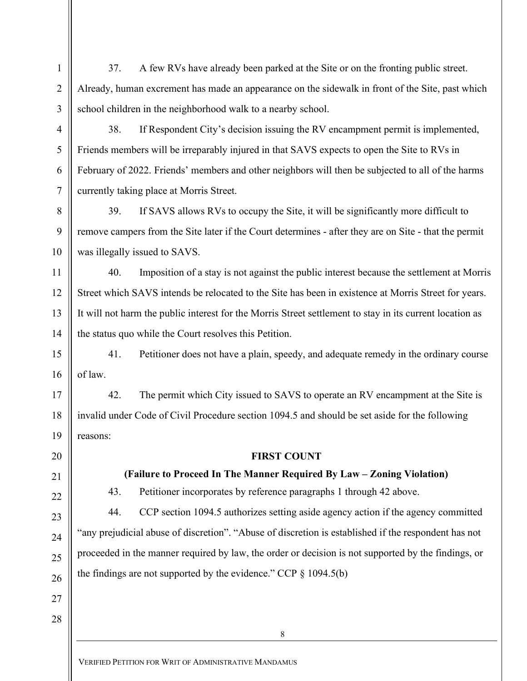37. A few RVs have already been parked at the Site or on the fronting public street. Already, human excrement has made an appearance on the sidewalk in front of the Site, past which school children in the neighborhood walk to a nearby school.

3 4

5

6

7

8

9

10

11

12

13

14

17

18

19

21

1

2

38. If Respondent City's decision issuing the RV encampment permit is implemented, Friends members will be irreparably injured in that SAVS expects to open the Site to RVs in February of 2022. Friends' members and other neighbors will then be subjected to all of the harms currently taking place at Morris Street.

39. If SAVS allows RVs to occupy the Site, it will be significantly more difficult to remove campers from the Site later if the Court determines - after they are on Site - that the permit was illegally issued to SAVS.

40. Imposition of a stay is not against the public interest because the settlement at Morris Street which SAVS intends be relocated to the Site has been in existence at Morris Street for years. It will not harm the public interest for the Morris Street settlement to stay in its current location as the status quo while the Court resolves this Petition.

15 16 41. Petitioner does not have a plain, speedy, and adequate remedy in the ordinary course of law.

42. The permit which City issued to SAVS to operate an RV encampment at the Site is invalid under Code of Civil Procedure section 1094.5 and should be set aside for the following reasons:

20

# FIRST COUNT

# (Failure to Proceed In The Manner Required By Law – Zoning Violation)

43. Petitioner incorporates by reference paragraphs 1 through 42 above.

44. CCP section 1094.5 authorizes setting aside agency action if the agency committed "any prejudicial abuse of discretion". "Abuse of discretion is established if the respondent has not proceeded in the manner required by law, the order or decision is not supported by the findings, or the findings are not supported by the evidence." CCP  $\S$  1094.5(b)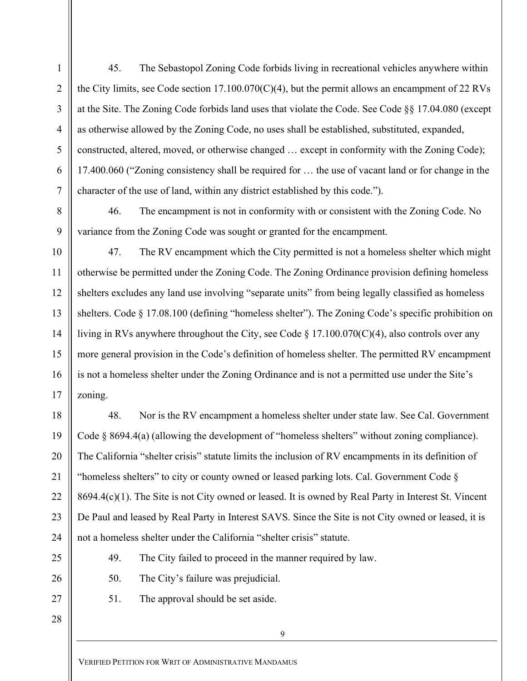45. The Sebastopol Zoning Code forbids living in recreational vehicles anywhere within the City limits, see Code section 17.100.070(C)(4), but the permit allows an encampment of 22 RVs at the Site. The Zoning Code forbids land uses that violate the Code. See Code §§ 17.04.080 (except as otherwise allowed by the Zoning Code, no uses shall be established, substituted, expanded, constructed, altered, moved, or otherwise changed … except in conformity with the Zoning Code); 17.400.060 ("Zoning consistency shall be required for … the use of vacant land or for change in the character of the use of land, within any district established by this code.").

46. The encampment is not in conformity with or consistent with the Zoning Code. No variance from the Zoning Code was sought or granted for the encampment.

47. The RV encampment which the City permitted is not a homeless shelter which might otherwise be permitted under the Zoning Code. The Zoning Ordinance provision defining homeless shelters excludes any land use involving "separate units" from being legally classified as homeless shelters. Code § 17.08.100 (defining "homeless shelter"). The Zoning Code's specific prohibition on living in RVs anywhere throughout the City, see Code § 17.100.070(C)(4), also controls over any more general provision in the Code's definition of homeless shelter. The permitted RV encampment is not a homeless shelter under the Zoning Ordinance and is not a permitted use under the Site's zoning.

48. Nor is the RV encampment a homeless shelter under state law. See Cal. Government Code § 8694.4(a) (allowing the development of "homeless shelters" without zoning compliance). The California "shelter crisis" statute limits the inclusion of RV encampments in its definition of "homeless shelters" to city or county owned or leased parking lots. Cal. Government Code  $\S$ 8694.4(c)(1). The Site is not City owned or leased. It is owned by Real Party in Interest St. Vincent De Paul and leased by Real Party in Interest SAVS. Since the Site is not City owned or leased, it is not a homeless shelter under the California "shelter crisis" statute.

49. The City failed to proceed in the manner required by law.

50. The City's failure was prejudicial.

51. The approval should be set aside.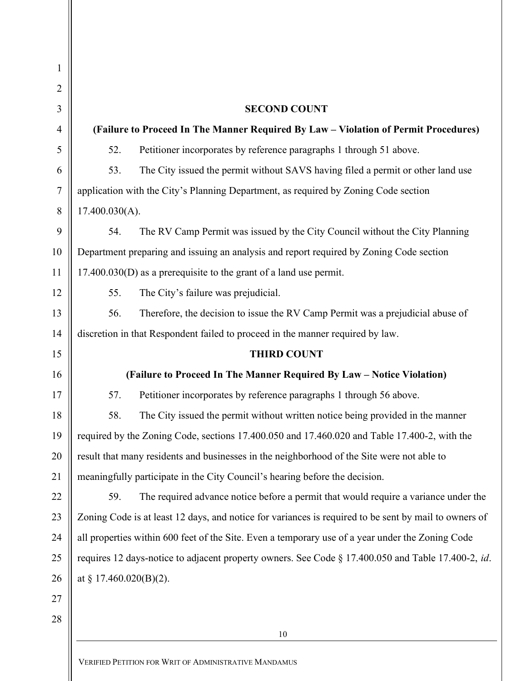| $\mathbf{1}$   |                                                                                                       |  |  |
|----------------|-------------------------------------------------------------------------------------------------------|--|--|
| 2              |                                                                                                       |  |  |
| 3              | <b>SECOND COUNT</b>                                                                                   |  |  |
| $\overline{4}$ | (Failure to Proceed In The Manner Required By Law - Violation of Permit Procedures)                   |  |  |
| 5              | 52.<br>Petitioner incorporates by reference paragraphs 1 through 51 above.                            |  |  |
| 6              | 53.<br>The City issued the permit without SAVS having filed a permit or other land use                |  |  |
| $\tau$         | application with the City's Planning Department, as required by Zoning Code section                   |  |  |
| 8              | 17.400.030(A).                                                                                        |  |  |
| 9              | The RV Camp Permit was issued by the City Council without the City Planning<br>54.                    |  |  |
| 10             | Department preparing and issuing an analysis and report required by Zoning Code section               |  |  |
| 11             | 17.400.030(D) as a prerequisite to the grant of a land use permit.                                    |  |  |
| 12             | 55.<br>The City's failure was prejudicial.                                                            |  |  |
| 13             | Therefore, the decision to issue the RV Camp Permit was a prejudicial abuse of<br>56.                 |  |  |
| 14             | discretion in that Respondent failed to proceed in the manner required by law.                        |  |  |
| 15             | <b>THIRD COUNT</b>                                                                                    |  |  |
| 16             | (Failure to Proceed In The Manner Required By Law - Notice Violation)                                 |  |  |
| 17             | Petitioner incorporates by reference paragraphs 1 through 56 above.<br>57.                            |  |  |
| 18             | The City issued the permit without written notice being provided in the manner<br>58.                 |  |  |
| 19             | required by the Zoning Code, sections 17.400.050 and 17.460.020 and Table 17.400-2, with the          |  |  |
| 20             | result that many residents and businesses in the neighborhood of the Site were not able to            |  |  |
| 21             | meaningfully participate in the City Council's hearing before the decision.                           |  |  |
| 22             | 59.<br>The required advance notice before a permit that would require a variance under the            |  |  |
| 23             | Zoning Code is at least 12 days, and notice for variances is required to be sent by mail to owners of |  |  |
| 24             | all properties within 600 feet of the Site. Even a temporary use of a year under the Zoning Code      |  |  |
| 25             | requires 12 days-notice to adjacent property owners. See Code § 17.400.050 and Table 17.400-2, id.    |  |  |
| 26             | at § 17.460.020(B)(2).                                                                                |  |  |
| 27             |                                                                                                       |  |  |
| 28             |                                                                                                       |  |  |
|                | 10                                                                                                    |  |  |

-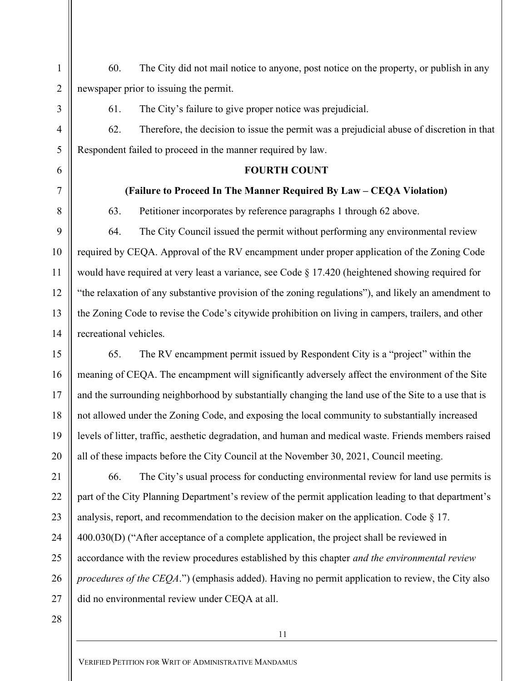60. The City did not mail notice to anyone, post notice on the property, or publish in any newspaper prior to issuing the permit.

61. The City's failure to give proper notice was prejudicial.

62. Therefore, the decision to issue the permit was a prejudicial abuse of discretion in that Respondent failed to proceed in the manner required by law.

## FOURTH COUNT

## (Failure to Proceed In The Manner Required By Law – CEQA Violation)

1

2

3

4

5

6

7

8

9

10

11

12

13

14

15

16

17

18

19

20

21

22

23

24

25

26

27

63. Petitioner incorporates by reference paragraphs 1 through 62 above.

64. The City Council issued the permit without performing any environmental review required by CEQA. Approval of the RV encampment under proper application of the Zoning Code would have required at very least a variance, see Code § 17.420 (heightened showing required for "the relaxation of any substantive provision of the zoning regulations"), and likely an amendment to the Zoning Code to revise the Code's citywide prohibition on living in campers, trailers, and other recreational vehicles.

65. The RV encampment permit issued by Respondent City is a "project" within the meaning of CEQA. The encampment will significantly adversely affect the environment of the Site and the surrounding neighborhood by substantially changing the land use of the Site to a use that is not allowed under the Zoning Code, and exposing the local community to substantially increased levels of litter, traffic, aesthetic degradation, and human and medical waste. Friends members raised all of these impacts before the City Council at the November 30, 2021, Council meeting.

66. The City's usual process for conducting environmental review for land use permits is part of the City Planning Department's review of the permit application leading to that department's analysis, report, and recommendation to the decision maker on the application. Code  $\S$  17. 400.030(D) ("After acceptance of a complete application, the project shall be reviewed in accordance with the review procedures established by this chapter *and the environmental review* procedures of the CEQA.") (emphasis added). Having no permit application to review, the City also did no environmental review under CEQA at all.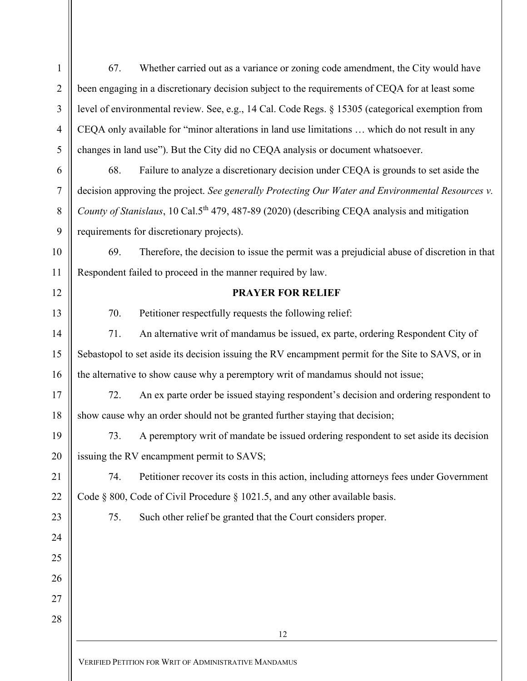| $\mathbf{1}$   | 67.                                                                                                      | Whether carried out as a variance or zoning code amendment, the City would have           |  |
|----------------|----------------------------------------------------------------------------------------------------------|-------------------------------------------------------------------------------------------|--|
| $\overline{2}$ | been engaging in a discretionary decision subject to the requirements of CEQA for at least some          |                                                                                           |  |
| $\mathfrak{Z}$ | level of environmental review. See, e.g., 14 Cal. Code Regs. § 15305 (categorical exemption from         |                                                                                           |  |
| $\overline{4}$ | CEQA only available for "minor alterations in land use limitations  which do not result in any           |                                                                                           |  |
| $\mathfrak{S}$ | changes in land use"). But the City did no CEQA analysis or document whatsoever.                         |                                                                                           |  |
| 6              | 68.                                                                                                      | Failure to analyze a discretionary decision under CEQA is grounds to set aside the        |  |
| $\overline{7}$ | decision approving the project. See generally Protecting Our Water and Environmental Resources v.        |                                                                                           |  |
| 8              | County of Stanislaus, 10 Cal.5 <sup>th</sup> 479, 487-89 (2020) (describing CEQA analysis and mitigation |                                                                                           |  |
| 9              |                                                                                                          | requirements for discretionary projects).                                                 |  |
| 10             | 69.                                                                                                      | Therefore, the decision to issue the permit was a prejudicial abuse of discretion in that |  |
| 11             |                                                                                                          | Respondent failed to proceed in the manner required by law.                               |  |
| 12             |                                                                                                          | <b>PRAYER FOR RELIEF</b>                                                                  |  |
| 13             | 70.                                                                                                      | Petitioner respectfully requests the following relief:                                    |  |
| 14             | 71.                                                                                                      | An alternative writ of mandamus be issued, ex parte, ordering Respondent City of          |  |
| 15             | Sebastopol to set aside its decision issuing the RV encampment permit for the Site to SAVS, or in        |                                                                                           |  |
| 16             | the alternative to show cause why a peremptory writ of mandamus should not issue;                        |                                                                                           |  |
| 17             | 72.                                                                                                      | An ex parte order be issued staying respondent's decision and ordering respondent to      |  |
| 18             | show cause why an order should not be granted further staying that decision;                             |                                                                                           |  |
| 19             | 73.                                                                                                      | A peremptory writ of mandate be issued ordering respondent to set aside its decision      |  |
| 20             | issuing the RV encampment permit to SAVS;                                                                |                                                                                           |  |
| 21             | 74.                                                                                                      | Petitioner recover its costs in this action, including attorneys fees under Government    |  |
| 22             |                                                                                                          | Code § 800, Code of Civil Procedure § 1021.5, and any other available basis.              |  |
| 23             | 75.                                                                                                      | Such other relief be granted that the Court considers proper.                             |  |
| 24             |                                                                                                          |                                                                                           |  |
| 25             |                                                                                                          |                                                                                           |  |
| 26             |                                                                                                          |                                                                                           |  |
| 27             |                                                                                                          |                                                                                           |  |
| 28             |                                                                                                          |                                                                                           |  |
|                |                                                                                                          | 12                                                                                        |  |
|                |                                                                                                          | VERIFIED PETITION FOR WRIT OF ADMINISTRATIVE MANDAMUS                                     |  |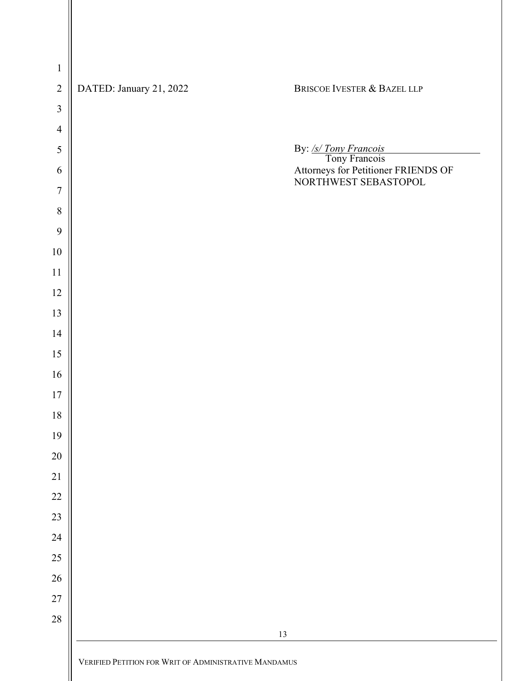| DATED: January 21, 2022 | BRISCOE IVESTER & BAZEL LLP                                                                                  |
|-------------------------|--------------------------------------------------------------------------------------------------------------|
|                         |                                                                                                              |
|                         |                                                                                                              |
|                         |                                                                                                              |
|                         | By: <u>/s/ Tony Francois</u><br>Tony Francois<br>Attorneys for Petitioner FRIENDS OF<br>NORTHWEST SEBASTOPOL |
|                         |                                                                                                              |
|                         |                                                                                                              |
|                         |                                                                                                              |
|                         |                                                                                                              |
|                         |                                                                                                              |
|                         |                                                                                                              |
|                         |                                                                                                              |
|                         |                                                                                                              |
|                         |                                                                                                              |
|                         |                                                                                                              |
|                         |                                                                                                              |
|                         |                                                                                                              |
|                         |                                                                                                              |
|                         |                                                                                                              |
|                         |                                                                                                              |
|                         |                                                                                                              |
|                         |                                                                                                              |
|                         |                                                                                                              |
|                         |                                                                                                              |
|                         |                                                                                                              |
|                         |                                                                                                              |
|                         | $13\,$                                                                                                       |